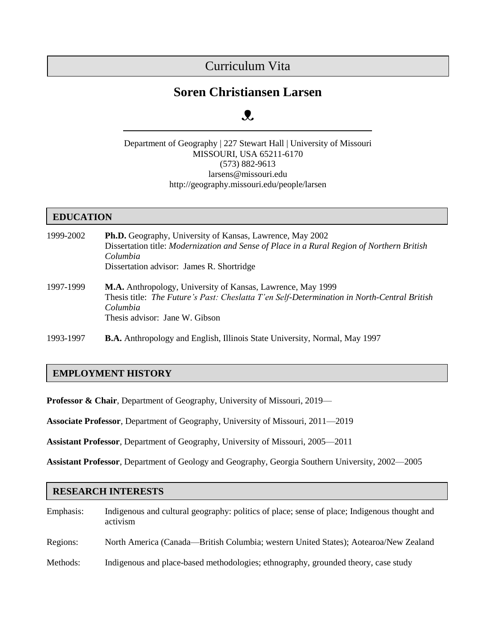# Curriculum Vita

# **Soren Christiansen Larsen**

 $\mathcal{R}$ .

Department of Geography | 227 Stewart Hall | University of Missouri MISSOURI, USA 65211-6170 (573) 882-9613 larsens@missouri.edu http://geography.missouri.edu/people/larsen

# **EDUCATION**

1999-2002 **Ph.D.** Geography, University of Kansas, Lawrence, May 2002 Dissertation title: *Modernization and Sense of Place in a Rural Region of Northern British Columbia* Dissertation advisor: James R. Shortridge 1997-1999 **M.A.** Anthropology, University of Kansas, Lawrence, May 1999 Thesis title: *The Future's Past: Cheslatta T'en Self-Determination in North-Central British Columbia* Thesis advisor: Jane W. Gibson 1993-1997 **B.A.** Anthropology and English, Illinois State University, Normal, May 1997

# **EMPLOYMENT HISTORY**

**Professor & Chair**, Department of Geography, University of Missouri, 2019—

**Associate Professor**, Department of Geography, University of Missouri, 2011—2019

**Assistant Professor**, Department of Geography, University of Missouri, 2005—2011

**Assistant Professor**, Department of Geology and Geography, Georgia Southern University, 2002—2005

### **RESEARCH INTERESTS**

| Emphasis: | Indigenous and cultural geography: politics of place; sense of place; Indigenous thought and<br>activism |
|-----------|----------------------------------------------------------------------------------------------------------|
| Regions:  | North America (Canada—British Columbia; western United States); Aotearoa/New Zealand                     |
| Methods:  | Indigenous and place-based methodologies; ethnography, grounded theory, case study                       |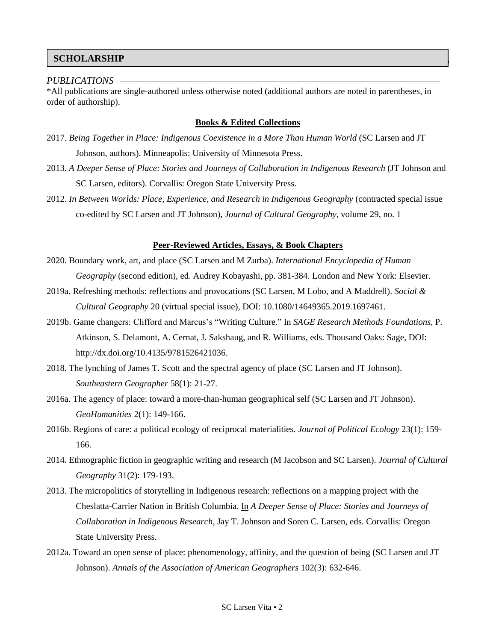### **SCHOLARSHIP**

#### *PUBLICATIONS*

\*All publications are single-authored unless otherwise noted (additional authors are noted in parentheses, in order of authorship).

### **Books & Edited Collections**

*Last updated: May 2019*

- 2017. *Being Together in Place: Indigenous Coexistence in a More Than Human World* (SC Larsen and JT Johnson, authors). Minneapolis: University of Minnesota Press.
- 2013. *A Deeper Sense of Place: Stories and Journeys of Collaboration in Indigenous Research* (JT Johnson and SC Larsen, editors). Corvallis: Oregon State University Press.
- 2012. *In Between Worlds: Place, Experience, and Research in Indigenous Geography* (contracted special issue co-edited by SC Larsen and JT Johnson), *Journal of Cultural Geography*, volume 29, no. 1

### **Peer-Reviewed Articles, Essays, & Book Chapters**

- 2020. Boundary work, art, and place (SC Larsen and M Zurba). *International Encyclopedia of Human Geography* (second edition), ed. Audrey Kobayashi, pp. 381-384. London and New York: Elsevier.
- 2019a. Refreshing methods: reflections and provocations (SC Larsen, M Lobo, and A Maddrell). *Social & Cultural Geography* 20 (virtual special issue), DOI: 10.1080/14649365.2019.1697461.
- 2019b. Game changers: Clifford and Marcus's "Writing Culture." In *SAGE Research Methods Foundations*, P. Atkinson, S. Delamont, A. Cernat, J. Sakshaug, and R. Williams, eds. Thousand Oaks: Sage, DOI: http://dx.doi.org/10.4135/9781526421036.
- 2018. The lynching of James T. Scott and the spectral agency of place (SC Larsen and JT Johnson). *Southeastern Geographer* 58(1): 21-27.
- 2016a. The agency of place: toward a more-than-human geographical self (SC Larsen and JT Johnson). *GeoHumanities* 2(1): 149-166.
- 2016b. Regions of care: a political ecology of reciprocal materialities. *Journal of Political Ecology* 23(1): 159- 166.
- 2014. Ethnographic fiction in geographic writing and research (M Jacobson and SC Larsen). *Journal of Cultural Geography* 31(2): 179-193.
- 2013. The micropolitics of storytelling in Indigenous research: reflections on a mapping project with the Cheslatta-Carrier Nation in British Columbia. In *A Deeper Sense of Place: Stories and Journeys of Collaboration in Indigenous Research*, Jay T. Johnson and Soren C. Larsen, eds. Corvallis: Oregon State University Press.
- 2012a. Toward an open sense of place: phenomenology, affinity, and the question of being (SC Larsen and JT Johnson). *Annals of the Association of American Geographers* 102(3): 632-646.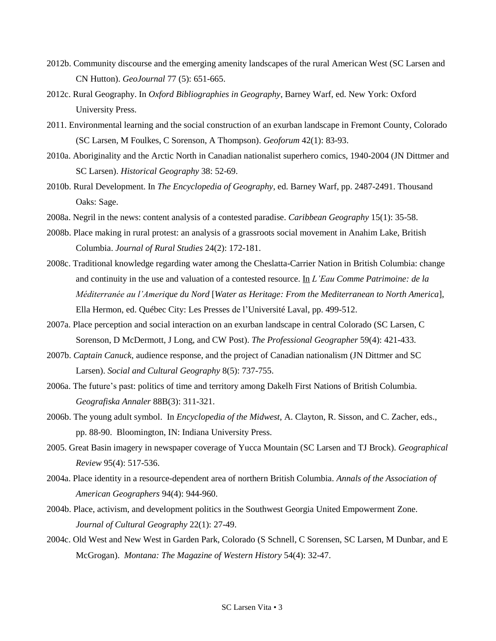- 2012b. Community discourse and the emerging amenity landscapes of the rural American West (SC Larsen and CN Hutton). *GeoJournal* 77 (5): 651-665.
- 2012c. Rural Geography. In *Oxford Bibliographies in Geography*, Barney Warf, ed. New York: Oxford University Press.
- 2011. Environmental learning and the social construction of an exurban landscape in Fremont County, Colorado (SC Larsen, M Foulkes, C Sorenson, A Thompson). *Geoforum* 42(1): 83-93.
- 2010a. Aboriginality and the Arctic North in Canadian nationalist superhero comics, 1940-2004 (JN Dittmer and SC Larsen). *Historical Geography* 38: 52-69.
- 2010b. Rural Development. In *The Encyclopedia of Geography*, ed. Barney Warf, pp. 2487-2491. Thousand Oaks: Sage.
- 2008a. Negril in the news: content analysis of a contested paradise. *Caribbean Geography* 15(1): 35-58.
- 2008b. Place making in rural protest: an analysis of a grassroots social movement in Anahim Lake, British Columbia. *Journal of Rural Studies* 24(2): 172-181.
- 2008c. Traditional knowledge regarding water among the Cheslatta-Carrier Nation in British Columbia: change and continuity in the use and valuation of a contested resource. In *L'Eau Comme Patrimoine: de la Méditerranée au l'Amerique du Nord* [*Water as Heritage: From the Mediterranean to North America*], Ella Hermon, ed. Québec City: Les Presses de l'Université Laval, pp. 499-512.
- 2007a. Place perception and social interaction on an exurban landscape in central Colorado (SC Larsen, C Sorenson, D McDermott, J Long, and CW Post). *The Professional Geographer* 59(4): 421-433.
- 2007b. *Captain Canuck,* audience response, and the project of Canadian nationalism (JN Dittmer and SC Larsen). *Social and Cultural Geography* 8(5): 737-755.
- 2006a. The future's past: politics of time and territory among Dakelh First Nations of British Columbia. *Geografiska Annaler* 88B(3): 311-321.
- 2006b. The young adult symbol. In *Encyclopedia of the Midwest*, A. Clayton, R. Sisson, and C. Zacher, eds., pp. 88-90. Bloomington, IN: Indiana University Press.
- 2005. Great Basin imagery in newspaper coverage of Yucca Mountain (SC Larsen and TJ Brock). *Geographical Review* 95(4): 517-536.
- 2004a. Place identity in a resource-dependent area of northern British Columbia. *Annals of the Association of American Geographers* 94(4): 944-960.
- 2004b. Place, activism, and development politics in the Southwest Georgia United Empowerment Zone. *Journal of Cultural Geography* 22(1): 27-49.
- 2004c. Old West and New West in Garden Park, Colorado (S Schnell, C Sorensen, SC Larsen, M Dunbar, and E McGrogan). *Montana: The Magazine of Western History* 54(4): 32-47.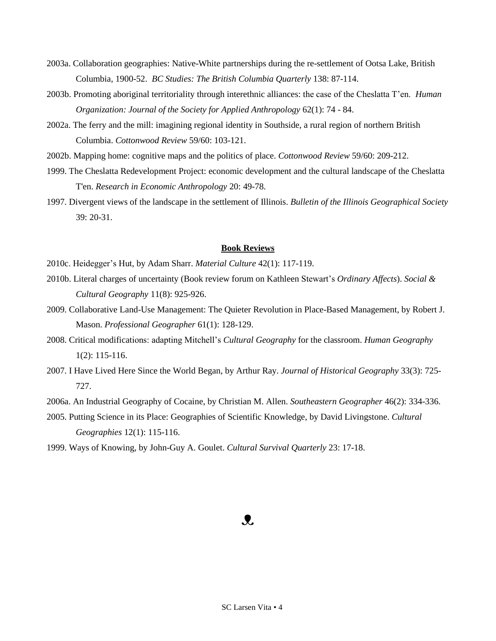- 2003a. Collaboration geographies: Native-White partnerships during the re-settlement of Ootsa Lake, British Columbia, 1900-52. *BC Studies: The British Columbia Quarterly* 138: 87-114.
- 2003b. Promoting aboriginal territoriality through interethnic alliances: the case of the Cheslatta T'en. *Human Organization: Journal of the Society for Applied Anthropology* 62(1): 74 - 84.
- 2002a. The ferry and the mill: imagining regional identity in Southside, a rural region of northern British Columbia. *Cottonwood Review* 59/60: 103-121.
- 2002b. Mapping home: cognitive maps and the politics of place. *Cottonwood Review* 59/60: 209-212.
- 1999. The Cheslatta Redevelopment Project: economic development and the cultural landscape of the Cheslatta T'en. *Research in Economic Anthropology* 20: 49-78.
- 1997. Divergent views of the landscape in the settlement of Illinois. *Bulletin of the Illinois Geographical Society* 39: 20-31.

#### **Book Reviews**

- 2010c. Heidegger's Hut, by Adam Sharr. *Material Culture* 42(1): 117-119.
- 2010b. Literal charges of uncertainty (Book review forum on Kathleen Stewart's *Ordinary Affects*). *Social & Cultural Geography* 11(8): 925-926.
- 2009. Collaborative Land-Use Management: The Quieter Revolution in Place-Based Management, by Robert J. Mason. *Professional Geographer* 61(1): 128-129.
- 2008. Critical modifications: adapting Mitchell's *Cultural Geography* for the classroom. *Human Geography* 1(2): 115-116.
- 2007. I Have Lived Here Since the World Began, by Arthur Ray. *Journal of Historical Geography* 33(3): 725- 727.
- 2006a. An Industrial Geography of Cocaine, by Christian M. Allen. *Southeastern Geographer* 46(2): 334-336.
- 2005. Putting Science in its Place: Geographies of Scientific Knowledge, by David Livingstone. *Cultural Geographies* 12(1): 115-116.
- 1999. Ways of Knowing, by John-Guy A. Goulet. *Cultural Survival Quarterly* 23: 17-18.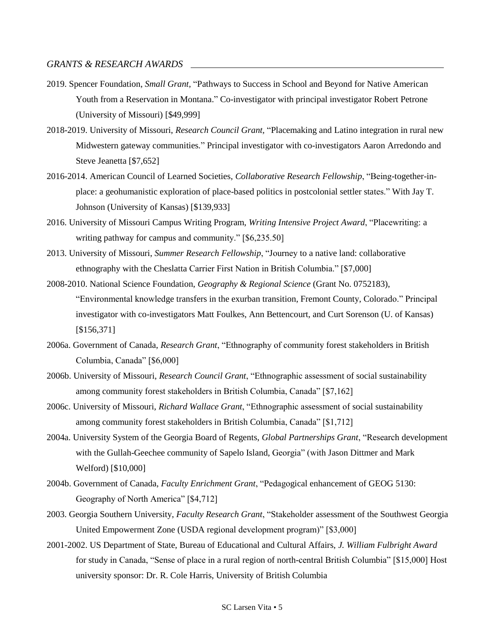- 2019. Spencer Foundation, *Small Grant,* "Pathways to Success in School and Beyond for Native American Youth from a Reservation in Montana." Co-investigator with principal investigator Robert Petrone (University of Missouri) [\$49,999]
- 2018-2019. University of Missouri, *Research Council Grant,* "Placemaking and Latino integration in rural new Midwestern gateway communities*.*" Principal investigator with co-investigators Aaron Arredondo and Steve Jeanetta [\$7,652]
- 2016-2014. American Council of Learned Societies, *Collaborative Research Fellowship*, "Being-together-inplace: a geohumanistic exploration of place-based politics in postcolonial settler states." With Jay T. Johnson (University of Kansas) [\$139,933]
- 2016. University of Missouri Campus Writing Program, *Writing Intensive Project Award*, "Placewriting: a writing pathway for campus and community." [\$6,235.50]
- 2013. University of Missouri, *Summer Research Fellowship*, "Journey to a native land: collaborative ethnography with the Cheslatta Carrier First Nation in British Columbia." [\$7,000]
- 2008-2010. National Science Foundation, *Geography & Regional Science* (Grant No. 0752183), "Environmental knowledge transfers in the exurban transition, Fremont County, Colorado." Principal investigator with co-investigators Matt Foulkes, Ann Bettencourt, and Curt Sorenson (U. of Kansas) [\$156,371]
- 2006a. Government of Canada, *Research Grant*, "Ethnography of community forest stakeholders in British Columbia, Canada" [\$6,000]
- 2006b. University of Missouri, *Research Council Grant*, "Ethnographic assessment of social sustainability among community forest stakeholders in British Columbia, Canada" [\$7,162]
- 2006c. University of Missouri, *Richard Wallace Grant*, "Ethnographic assessment of social sustainability among community forest stakeholders in British Columbia, Canada" [\$1,712]
- 2004a. University System of the Georgia Board of Regents, *Global Partnerships Grant*, "Research development with the Gullah-Geechee community of Sapelo Island, Georgia" (with Jason Dittmer and Mark Welford) [\$10,000]
- 2004b. Government of Canada, *Faculty Enrichment Grant*, "Pedagogical enhancement of GEOG 5130: Geography of North America" [\$4,712]
- 2003. Georgia Southern University, *Faculty Research Grant*, "Stakeholder assessment of the Southwest Georgia United Empowerment Zone (USDA regional development program)" [\$3,000]
- 2001-2002. US Department of State, Bureau of Educational and Cultural Affairs, *J. William Fulbright Award* for study in Canada, "Sense of place in a rural region of north-central British Columbia" [\$15,000] Host university sponsor: Dr. R. Cole Harris, University of British Columbia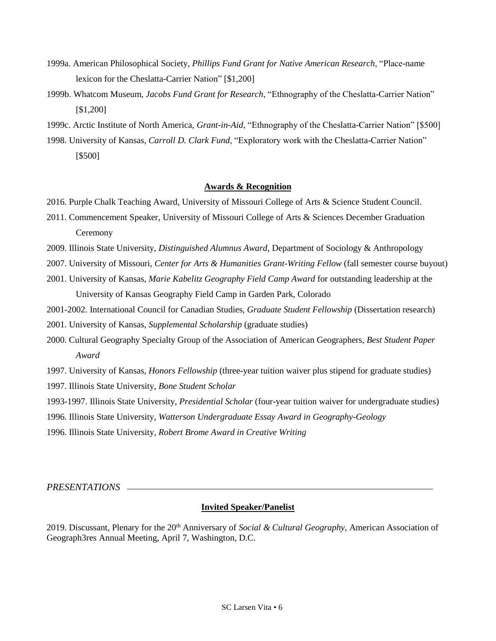- 1999a. American Philosophical Society, *Phillips Fund Grant for Native American Research*, "Place-name lexicon for the Cheslatta-Carrier Nation" [\$1,200]
- 1999b. Whatcom Museum, *Jacobs Fund Grant for Research*, "Ethnography of the Cheslatta-Carrier Nation" [\$1,200]
- 1999c. Arctic Institute of North America, *Grant-in-Aid*, "Ethnography of the Cheslatta-Carrier Nation" [\$500]
- 1998. University of Kansas, *Carroll D. Clark Fund*, "Exploratory work with the Cheslatta-Carrier Nation" [\$500]

### **Awards & Recognition**

- 2016. Purple Chalk Teaching Award, University of Missouri College of Arts & Science Student Council.
- 2011. Commencement Speaker, University of Missouri College of Arts & Sciences December Graduation Ceremony
- 2009. Illinois State University, *Distinguished Alumnus Award*, Department of Sociology & Anthropology
- 2007. University of Missouri, *Center for Arts & Humanities Grant-Writing Fellow* (fall semester course buyout)
- 2001. University of Kansas, *Marie Kabelitz Geography Field Camp Award* for outstanding leadership at the University of Kansas Geography Field Camp in Garden Park, Colorado
- 2001-2002. International Council for Canadian Studies, *Graduate Student Fellowship* (Dissertation research)
- 2001. University of Kansas, *Supplemental Scholarship* (graduate studies)
- 2000. Cultural Geography Specialty Group of the Association of American Geographers, *Best Student Paper Award*
- 1997. University of Kansas, *Honors Fellowship* (three-year tuition waiver plus stipend for graduate studies)
- 1997. Illinois State University, *Bone Student Scholar*
- 1993-1997. Illinois State University, *Presidential Scholar* (four-year tuition waiver for undergraduate studies)
- 1996. Illinois State University, *Watterson Undergraduate Essay Award in Geography-Geology*
- 1996. Illinois State University, *Robert Brome Award in Creative Writing*

*PRESENTATIONS*

### **Invited Speaker/Panelist**

2019. Discussant, Plenary for the 20th Anniversary of *Social & Cultural Geography,* American Association of Geograph3res Annual Meeting, April 7, Washington, D.C.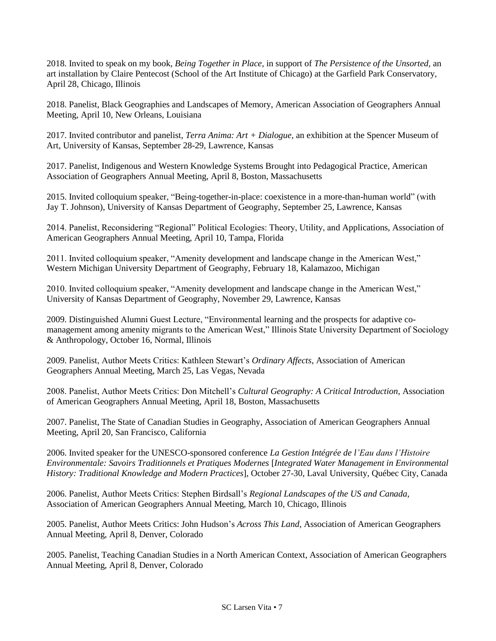2018. Invited to speak on my book, *Being Together in Place,* in support of *The Persistence of the Unsorted,* an art installation by Claire Pentecost (School of the Art Institute of Chicago) at the Garfield Park Conservatory, April 28, Chicago, Illinois

2018. Panelist, Black Geographies and Landscapes of Memory, American Association of Geographers Annual Meeting, April 10, New Orleans, Louisiana

2017. Invited contributor and panelist, *Terra Anima: Art + Dialogue,* an exhibition at the Spencer Museum of Art, University of Kansas, September 28-29, Lawrence, Kansas

2017. Panelist, Indigenous and Western Knowledge Systems Brought into Pedagogical Practice, American Association of Geographers Annual Meeting, April 8, Boston, Massachusetts

2015. Invited colloquium speaker, "Being-together-in-place: coexistence in a more-than-human world" (with Jay T. Johnson), University of Kansas Department of Geography, September 25, Lawrence, Kansas

2014. Panelist, Reconsidering "Regional" Political Ecologies: Theory, Utility, and Applications, Association of American Geographers Annual Meeting, April 10, Tampa, Florida

2011. Invited colloquium speaker, "Amenity development and landscape change in the American West," Western Michigan University Department of Geography, February 18, Kalamazoo, Michigan

2010. Invited colloquium speaker, "Amenity development and landscape change in the American West," University of Kansas Department of Geography, November 29, Lawrence, Kansas

2009. Distinguished Alumni Guest Lecture, "Environmental learning and the prospects for adaptive comanagement among amenity migrants to the American West," Illinois State University Department of Sociology & Anthropology, October 16, Normal, Illinois

2009. Panelist, Author Meets Critics: Kathleen Stewart's *Ordinary Affects*, Association of American Geographers Annual Meeting, March 25, Las Vegas, Nevada

2008. Panelist, Author Meets Critics: Don Mitchell's *Cultural Geography: A Critical Introduction*, Association of American Geographers Annual Meeting, April 18, Boston, Massachusetts

2007. Panelist, The State of Canadian Studies in Geography, Association of American Geographers Annual Meeting, April 20, San Francisco, California

2006. Invited speaker for the UNESCO-sponsored conference *La Gestion Intégrée de l'Eau dans l'Histoire Environmentale: Savoirs Traditionnels et Pratiques Modernes* [*Integrated Water Management in Environmental History: Traditional Knowledge and Modern Practices*], October 27-30, Laval University, Québec City, Canada

2006. Panelist, Author Meets Critics: Stephen Birdsall's *Regional Landscapes of the US and Canada*, Association of American Geographers Annual Meeting, March 10, Chicago, Illinois

2005. Panelist, Author Meets Critics: John Hudson's *Across This Land*, Association of American Geographers Annual Meeting, April 8, Denver, Colorado

2005. Panelist, Teaching Canadian Studies in a North American Context, Association of American Geographers Annual Meeting, April 8, Denver, Colorado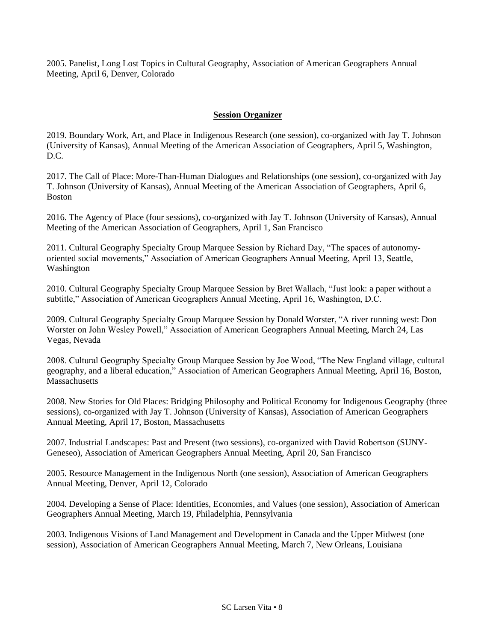2005. Panelist, Long Lost Topics in Cultural Geography, Association of American Geographers Annual Meeting, April 6, Denver, Colorado

### **Session Organizer**

2019. Boundary Work, Art, and Place in Indigenous Research (one session), co-organized with Jay T. Johnson (University of Kansas), Annual Meeting of the American Association of Geographers, April 5, Washington, D.C.

2017. The Call of Place: More-Than-Human Dialogues and Relationships (one session), co-organized with Jay T. Johnson (University of Kansas), Annual Meeting of the American Association of Geographers, April 6, Boston

2016. The Agency of Place (four sessions), co-organized with Jay T. Johnson (University of Kansas), Annual Meeting of the American Association of Geographers, April 1, San Francisco

2011. Cultural Geography Specialty Group Marquee Session by Richard Day, "The spaces of autonomyoriented social movements," Association of American Geographers Annual Meeting, April 13, Seattle, Washington

2010. Cultural Geography Specialty Group Marquee Session by Bret Wallach, "Just look: a paper without a subtitle," Association of American Geographers Annual Meeting, April 16, Washington, D.C.

2009. Cultural Geography Specialty Group Marquee Session by Donald Worster, "A river running west: Don Worster on John Wesley Powell," Association of American Geographers Annual Meeting, March 24, Las Vegas, Nevada

2008. Cultural Geography Specialty Group Marquee Session by Joe Wood, "The New England village, cultural geography, and a liberal education," Association of American Geographers Annual Meeting, April 16, Boston, **Massachusetts** 

2008. New Stories for Old Places: Bridging Philosophy and Political Economy for Indigenous Geography (three sessions), co-organized with Jay T. Johnson (University of Kansas), Association of American Geographers Annual Meeting, April 17, Boston, Massachusetts

2007. Industrial Landscapes: Past and Present (two sessions), co-organized with David Robertson (SUNY-Geneseo), Association of American Geographers Annual Meeting, April 20, San Francisco

2005. Resource Management in the Indigenous North (one session), Association of American Geographers Annual Meeting, Denver, April 12, Colorado

2004. Developing a Sense of Place: Identities, Economies, and Values (one session), Association of American Geographers Annual Meeting, March 19, Philadelphia, Pennsylvania

2003. Indigenous Visions of Land Management and Development in Canada and the Upper Midwest (one session), Association of American Geographers Annual Meeting, March 7, New Orleans, Louisiana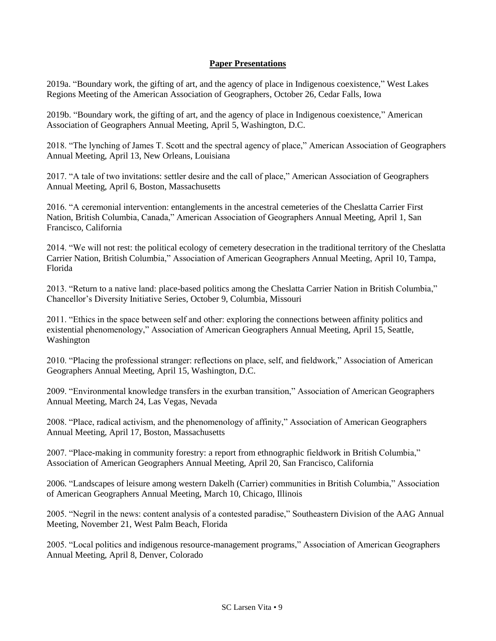### **Paper Presentations**

2019a. "Boundary work, the gifting of art, and the agency of place in Indigenous coexistence," West Lakes Regions Meeting of the American Association of Geographers, October 26, Cedar Falls, Iowa

2019b. "Boundary work, the gifting of art, and the agency of place in Indigenous coexistence," American Association of Geographers Annual Meeting, April 5, Washington, D.C.

2018. "The lynching of James T. Scott and the spectral agency of place," American Association of Geographers Annual Meeting, April 13, New Orleans, Louisiana

2017. "A tale of two invitations: settler desire and the call of place," American Association of Geographers Annual Meeting, April 6, Boston, Massachusetts

2016. "A ceremonial intervention: entanglements in the ancestral cemeteries of the Cheslatta Carrier First Nation, British Columbia, Canada," American Association of Geographers Annual Meeting, April 1, San Francisco, California

2014. "We will not rest: the political ecology of cemetery desecration in the traditional territory of the Cheslatta Carrier Nation, British Columbia," Association of American Geographers Annual Meeting, April 10, Tampa, Florida

2013. "Return to a native land: place-based politics among the Cheslatta Carrier Nation in British Columbia," Chancellor's Diversity Initiative Series, October 9, Columbia, Missouri

2011. "Ethics in the space between self and other: exploring the connections between affinity politics and existential phenomenology," Association of American Geographers Annual Meeting, April 15, Seattle, Washington

2010. "Placing the professional stranger: reflections on place, self, and fieldwork," Association of American Geographers Annual Meeting, April 15, Washington, D.C.

2009. "Environmental knowledge transfers in the exurban transition," Association of American Geographers Annual Meeting, March 24, Las Vegas, Nevada

2008. "Place, radical activism, and the phenomenology of affinity," Association of American Geographers Annual Meeting, April 17, Boston, Massachusetts

2007. "Place-making in community forestry: a report from ethnographic fieldwork in British Columbia," Association of American Geographers Annual Meeting, April 20, San Francisco, California

2006. "Landscapes of leisure among western Dakelh (Carrier) communities in British Columbia," Association of American Geographers Annual Meeting, March 10, Chicago, Illinois

2005. "Negril in the news: content analysis of a contested paradise," Southeastern Division of the AAG Annual Meeting, November 21, West Palm Beach, Florida

2005. "Local politics and indigenous resource-management programs," Association of American Geographers Annual Meeting, April 8, Denver, Colorado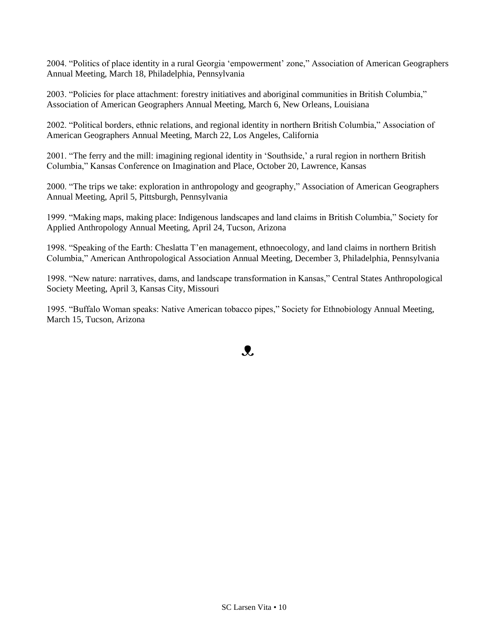2004. "Politics of place identity in a rural Georgia 'empowerment' zone," Association of American Geographers Annual Meeting, March 18, Philadelphia, Pennsylvania

2003. "Policies for place attachment: forestry initiatives and aboriginal communities in British Columbia," Association of American Geographers Annual Meeting, March 6, New Orleans, Louisiana

2002. "Political borders, ethnic relations, and regional identity in northern British Columbia," Association of American Geographers Annual Meeting, March 22, Los Angeles, California

2001. "The ferry and the mill: imagining regional identity in 'Southside,' a rural region in northern British Columbia," Kansas Conference on Imagination and Place, October 20, Lawrence, Kansas

2000. "The trips we take: exploration in anthropology and geography," Association of American Geographers Annual Meeting, April 5, Pittsburgh, Pennsylvania

1999. "Making maps, making place: Indigenous landscapes and land claims in British Columbia," Society for Applied Anthropology Annual Meeting, April 24, Tucson, Arizona

1998. "Speaking of the Earth: Cheslatta T'en management, ethnoecology, and land claims in northern British Columbia," American Anthropological Association Annual Meeting, December 3, Philadelphia, Pennsylvania

1998. "New nature: narratives, dams, and landscape transformation in Kansas," Central States Anthropological Society Meeting, April 3, Kansas City, Missouri

1995. "Buffalo Woman speaks: Native American tobacco pipes," Society for Ethnobiology Annual Meeting, March 15, Tucson, Arizona

# $\mathcal{R}$ .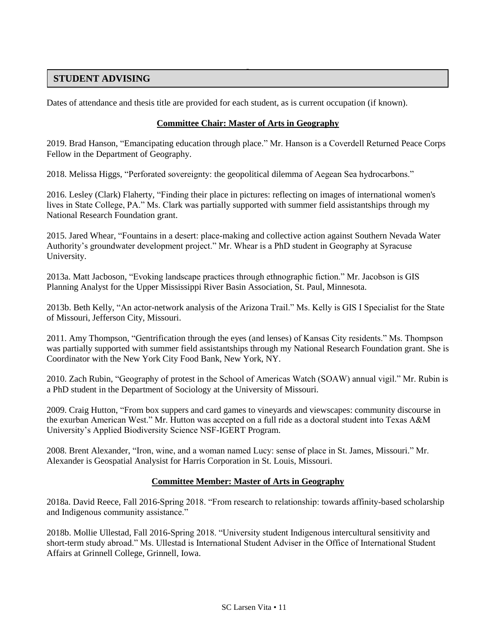# **STUDENT ADVISING**

Dates of attendance and thesis title are provided for each student, as is current occupation (if known).

### **Committee Chair: Master of Arts in Geography**

 $\overline{\phantom{0}}$ 

2019. Brad Hanson, "Emancipating education through place." Mr. Hanson is a Coverdell Returned Peace Corps Fellow in the Department of Geography.

2018. Melissa Higgs, "Perforated sovereignty: the geopolitical dilemma of Aegean Sea hydrocarbons."

2016. Lesley (Clark) Flaherty, "Finding their place in pictures: reflecting on images of international women's lives in State College, PA." Ms. Clark was partially supported with summer field assistantships through my National Research Foundation grant.

2015. Jared Whear, "Fountains in a desert: place-making and collective action against Southern Nevada Water Authority's groundwater development project." Mr. Whear is a PhD student in Geography at Syracuse University.

2013a. Matt Jacboson, "Evoking landscape practices through ethnographic fiction." Mr. Jacobson is GIS Planning Analyst for the Upper Mississippi River Basin Association, St. Paul, Minnesota.

2013b. Beth Kelly, "An actor-network analysis of the Arizona Trail." Ms. Kelly is GIS I Specialist for the State of Missouri, Jefferson City, Missouri.

2011. Amy Thompson, "Gentrification through the eyes (and lenses) of Kansas City residents." Ms. Thompson was partially supported with summer field assistantships through my National Research Foundation grant. She is Coordinator with the New York City Food Bank, New York, NY.

2010. Zach Rubin, "Geography of protest in the School of Americas Watch (SOAW) annual vigil." Mr. Rubin is a PhD student in the Department of Sociology at the University of Missouri.

2009. Craig Hutton, "From box suppers and card games to vineyards and viewscapes: community discourse in the exurban American West." Mr. Hutton was accepted on a full ride as a doctoral student into Texas A&M University's Applied Biodiversity Science NSF-IGERT Program.

2008. Brent Alexander, "Iron, wine, and a woman named Lucy: sense of place in St. James, Missouri." Mr. Alexander is Geospatial Analysist for Harris Corporation in St. Louis, Missouri.

### **Committee Member: Master of Arts in Geography**

2018a. David Reece, Fall 2016-Spring 2018. "From research to relationship: towards affinity-based scholarship and Indigenous community assistance."

2018b. Mollie Ullestad, Fall 2016-Spring 2018. "University student Indigenous intercultural sensitivity and short-term study abroad." Ms. Ullestad is International Student Adviser in the Office of International Student Affairs at Grinnell College, Grinnell, Iowa.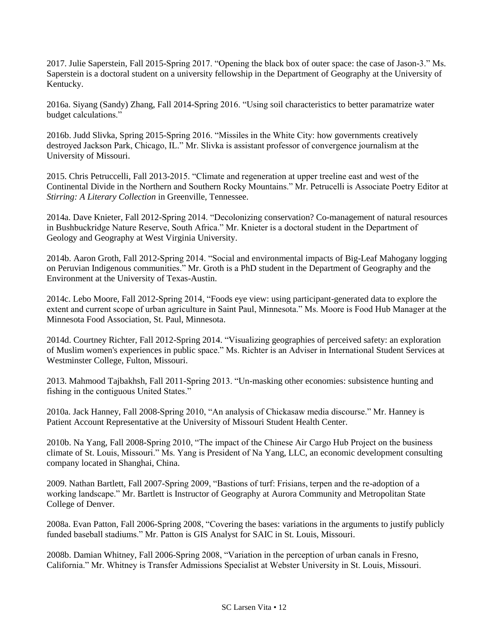2017. Julie Saperstein, Fall 2015-Spring 2017. "Opening the black box of outer space: the case of Jason-3." Ms. Saperstein is a doctoral student on a university fellowship in the Department of Geography at the University of Kentucky.

2016a. Siyang (Sandy) Zhang, Fall 2014-Spring 2016. "Using soil characteristics to better paramatrize water budget calculations."

2016b. Judd Slivka, Spring 2015-Spring 2016. "Missiles in the White City: how governments creatively destroyed Jackson Park, Chicago, IL." Mr. Slivka is assistant professor of convergence journalism at the University of Missouri.

2015. Chris Petruccelli, Fall 2013-2015. "Climate and regeneration at upper treeline east and west of the Continental Divide in the Northern and Southern Rocky Mountains." Mr. Petrucelli is Associate Poetry Editor at *Stirring: A Literary Collection* in Greenville, Tennessee.

2014a. Dave Knieter, Fall 2012-Spring 2014. "Decolonizing conservation? Co-management of natural resources in Bushbuckridge Nature Reserve, South Africa." Mr. Knieter is a doctoral student in the Department of Geology and Geography at West Virginia University.

2014b. Aaron Groth, Fall 2012-Spring 2014. "Social and environmental impacts of Big-Leaf Mahogany logging on Peruvian Indigenous communities." Mr. Groth is a PhD student in the Department of Geography and the Environment at the University of Texas-Austin.

2014c. Lebo Moore, Fall 2012-Spring 2014, "Foods eye view: using participant-generated data to explore the extent and current scope of urban agriculture in Saint Paul, Minnesota." Ms. Moore is Food Hub Manager at the Minnesota Food Association, St. Paul, Minnesota.

2014d. Courtney Richter, Fall 2012-Spring 2014. "Visualizing geographies of perceived safety: an exploration of Muslim women's experiences in public space." Ms. Richter is an Adviser in International Student Services at Westminster College, Fulton, Missouri.

2013. Mahmood Tajbakhsh, Fall 2011-Spring 2013. "Un-masking other economies: subsistence hunting and fishing in the contiguous United States."

2010a. Jack Hanney, Fall 2008-Spring 2010, "An analysis of Chickasaw media discourse." Mr. Hanney is Patient Account Representative at the University of Missouri Student Health Center.

2010b. Na Yang, Fall 2008-Spring 2010, "The impact of the Chinese Air Cargo Hub Project on the business climate of St. Louis, Missouri." Ms. Yang is President of Na Yang, LLC, an economic development consulting company located in Shanghai, China.

2009. Nathan Bartlett, Fall 2007-Spring 2009, "Bastions of turf: Frisians, terpen and the re-adoption of a working landscape." Mr. Bartlett is Instructor of Geography at Aurora Community and Metropolitan State College of Denver.

2008a. Evan Patton, Fall 2006-Spring 2008, "Covering the bases: variations in the arguments to justify publicly funded baseball stadiums." Mr. Patton is GIS Analyst for SAIC in St. Louis, Missouri.

2008b. Damian Whitney, Fall 2006-Spring 2008, "Variation in the perception of urban canals in Fresno, California." Mr. Whitney is Transfer Admissions Specialist at Webster University in St. Louis, Missouri.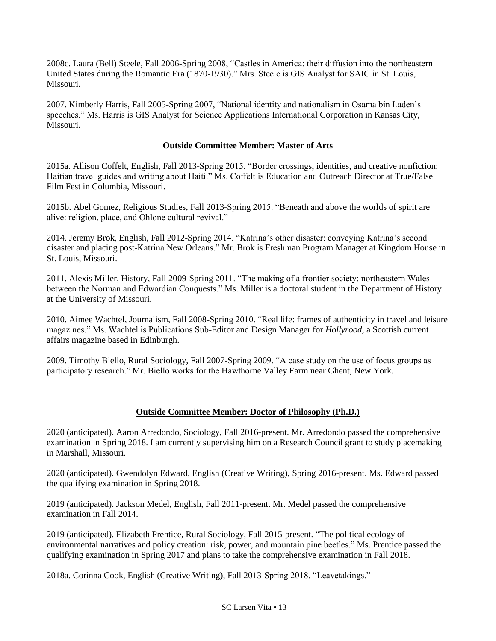2008c. Laura (Bell) Steele, Fall 2006-Spring 2008, "Castles in America: their diffusion into the northeastern United States during the Romantic Era (1870-1930)." Mrs. Steele is GIS Analyst for SAIC in St. Louis, Missouri.

2007. Kimberly Harris, Fall 2005-Spring 2007, "National identity and nationalism in Osama bin Laden's speeches." Ms. Harris is GIS Analyst for Science Applications International Corporation in Kansas City, Missouri.

### **Outside Committee Member: Master of Arts**

2015a. Allison Coffelt, English, Fall 2013-Spring 2015. "Border crossings, identities, and creative nonfiction: Haitian travel guides and writing about Haiti." Ms. Coffelt is Education and Outreach Director at True/False Film Fest in Columbia, Missouri.

2015b. Abel Gomez, Religious Studies, Fall 2013-Spring 2015. "Beneath and above the worlds of spirit are alive: religion, place, and Ohlone cultural revival."

2014. Jeremy Brok, English, Fall 2012-Spring 2014. "Katrina's other disaster: conveying Katrina's second disaster and placing post-Katrina New Orleans." Mr. Brok is Freshman Program Manager at Kingdom House in St. Louis, Missouri.

2011. Alexis Miller, History, Fall 2009-Spring 2011. "The making of a frontier society: northeastern Wales between the Norman and Edwardian Conquests." Ms. Miller is a doctoral student in the Department of History at the University of Missouri.

2010. Aimee Wachtel, Journalism, Fall 2008-Spring 2010. "Real life: frames of authenticity in travel and leisure magazines." Ms. Wachtel is Publications Sub-Editor and Design Manager for *Hollyrood,* a Scottish current affairs magazine based in Edinburgh.

2009. Timothy Biello, Rural Sociology, Fall 2007-Spring 2009. "A case study on the use of focus groups as participatory research." Mr. Biello works for the Hawthorne Valley Farm near Ghent, New York.

### **Outside Committee Member: Doctor of Philosophy (Ph.D.)**

2020 (anticipated). Aaron Arredondo, Sociology, Fall 2016-present. Mr. Arredondo passed the comprehensive examination in Spring 2018. I am currently supervising him on a Research Council grant to study placemaking in Marshall, Missouri.

2020 (anticipated). Gwendolyn Edward, English (Creative Writing), Spring 2016-present. Ms. Edward passed the qualifying examination in Spring 2018.

2019 (anticipated). Jackson Medel, English, Fall 2011-present. Mr. Medel passed the comprehensive examination in Fall 2014.

2019 (anticipated). Elizabeth Prentice, Rural Sociology, Fall 2015-present. "The political ecology of environmental narratives and policy creation: risk, power, and mountain pine beetles." Ms. Prentice passed the qualifying examination in Spring 2017 and plans to take the comprehensive examination in Fall 2018.

2018a. Corinna Cook, English (Creative Writing), Fall 2013-Spring 2018. "Leavetakings."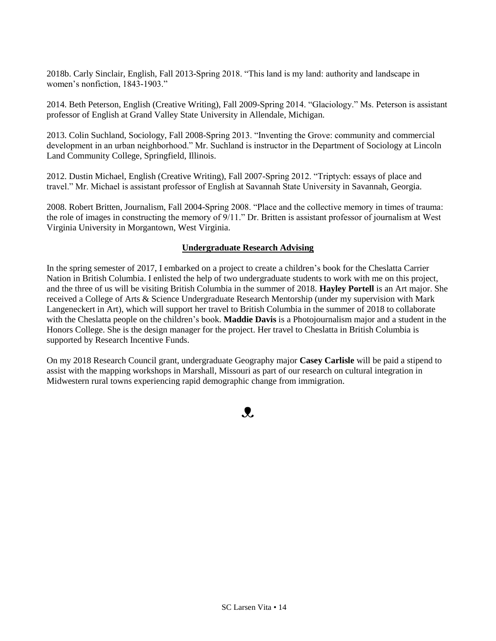2018b. Carly Sinclair, English, Fall 2013-Spring 2018. "This land is my land: authority and landscape in women's nonfiction, 1843-1903."

2014. Beth Peterson, English (Creative Writing), Fall 2009-Spring 2014. "Glaciology." Ms. Peterson is assistant professor of English at Grand Valley State University in Allendale, Michigan.

2013. Colin Suchland, Sociology, Fall 2008-Spring 2013. "Inventing the Grove: community and commercial development in an urban neighborhood." Mr. Suchland is instructor in the Department of Sociology at Lincoln Land Community College, Springfield, Illinois.

2012. Dustin Michael, English (Creative Writing), Fall 2007-Spring 2012. "Triptych: essays of place and travel." Mr. Michael is assistant professor of English at Savannah State University in Savannah, Georgia.

2008. Robert Britten, Journalism, Fall 2004-Spring 2008. "Place and the collective memory in times of trauma: the role of images in constructing the memory of 9/11." Dr. Britten is assistant professor of journalism at West Virginia University in Morgantown, West Virginia.

### **Undergraduate Research Advising**

In the spring semester of 2017, I embarked on a project to create a children's book for the Cheslatta Carrier Nation in British Columbia. I enlisted the help of two undergraduate students to work with me on this project, and the three of us will be visiting British Columbia in the summer of 2018. **Hayley Portell** is an Art major. She received a College of Arts & Science Undergraduate Research Mentorship (under my supervision with Mark Langeneckert in Art), which will support her travel to British Columbia in the summer of 2018 to collaborate with the Cheslatta people on the children's book. **Maddie Davis** is a Photojournalism major and a student in the Honors College. She is the design manager for the project. Her travel to Cheslatta in British Columbia is supported by Research Incentive Funds.

On my 2018 Research Council grant, undergraduate Geography major **Casey Carlisle** will be paid a stipend to assist with the mapping workshops in Marshall, Missouri as part of our research on cultural integration in Midwestern rural towns experiencing rapid demographic change from immigration.

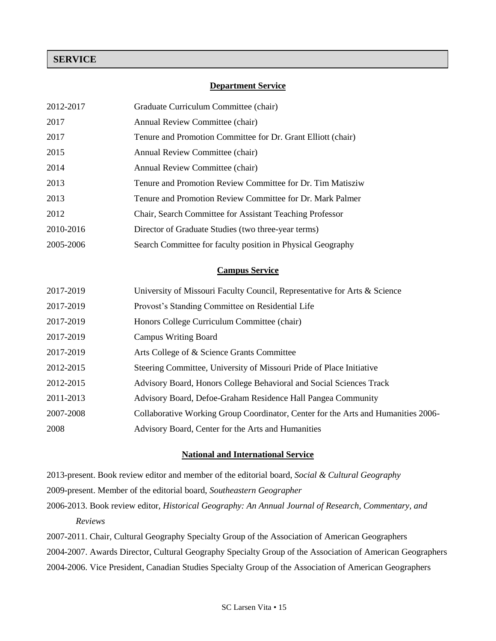### **SERVICE**

### **Department Service**

| 2012-2017 | Graduate Curriculum Committee (chair)                        |
|-----------|--------------------------------------------------------------|
| 2017      | Annual Review Committee (chair)                              |
| 2017      | Tenure and Promotion Committee for Dr. Grant Elliott (chair) |
| 2015      | Annual Review Committee (chair)                              |
| 2014      | Annual Review Committee (chair)                              |
| 2013      | Tenure and Promotion Review Committee for Dr. Tim Matisziw   |
| 2013      | Tenure and Promotion Review Committee for Dr. Mark Palmer    |
| 2012      | Chair, Search Committee for Assistant Teaching Professor     |
| 2010-2016 | Director of Graduate Studies (two three-year terms)          |
| 2005-2006 | Search Committee for faculty position in Physical Geography  |

### **Campus Service**

| 2017-2019 | University of Missouri Faculty Council, Representative for Arts & Science         |
|-----------|-----------------------------------------------------------------------------------|
| 2017-2019 | Provost's Standing Committee on Residential Life                                  |
| 2017-2019 | Honors College Curriculum Committee (chair)                                       |
| 2017-2019 | <b>Campus Writing Board</b>                                                       |
| 2017-2019 | Arts College of & Science Grants Committee                                        |
| 2012-2015 | Steering Committee, University of Missouri Pride of Place Initiative              |
| 2012-2015 | Advisory Board, Honors College Behavioral and Social Sciences Track               |
| 2011-2013 | Advisory Board, Defoe-Graham Residence Hall Pangea Community                      |
| 2007-2008 | Collaborative Working Group Coordinator, Center for the Arts and Humanities 2006- |
| 2008      | Advisory Board, Center for the Arts and Humanities                                |

### **National and International Service**

2013-present. Book review editor and member of the editorial board, *Social & Cultural Geography*

2009-present. Member of the editorial board, *Southeastern Geographer*

2006-2013. Book review editor, *Historical Geography: An Annual Journal of Research, Commentary, and Reviews*

2007-2011. Chair, Cultural Geography Specialty Group of the Association of American Geographers

2004-2007. Awards Director, Cultural Geography Specialty Group of the Association of American Geographers

2004-2006. Vice President, Canadian Studies Specialty Group of the Association of American Geographers